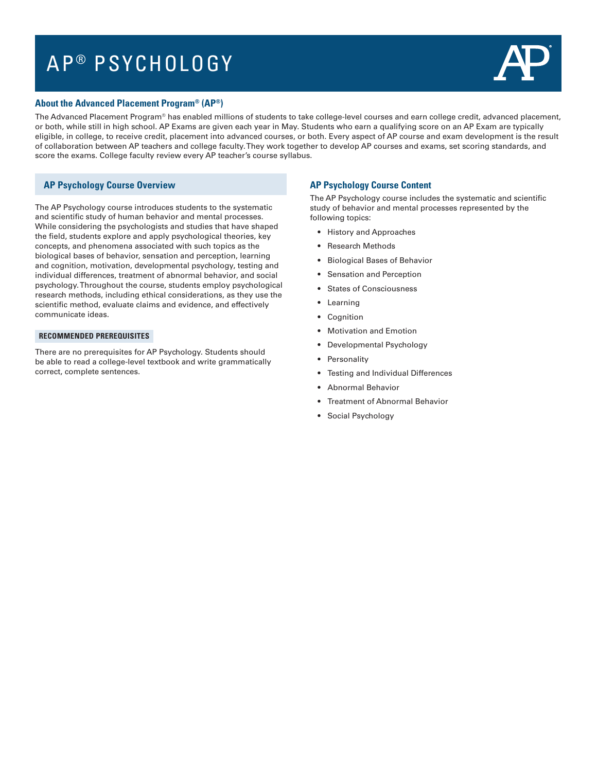# AP<sup>®</sup> PSYCHOLOGY



### **About the Advanced Placement Program® (AP®)**

The Advanced Placement Program® has enabled millions of students to take college-level courses and earn college credit, advanced placement, or both, while still in high school. AP Exams are given each year in May. Students who earn a qualifying score on an AP Exam are typically eligible, in college, to receive credit, placement into advanced courses, or both. Every aspect of AP course and exam development is the result of collaboration between AP teachers and college faculty. They work together to develop AP courses and exams, set scoring standards, and score the exams. College faculty review every AP teacher's course syllabus.

## **AP Psychology Course Overview**

The AP Psychology course introduces students to the systematic and scientific study of human behavior and mental processes. While considering the psychologists and studies that have shaped the field, students explore and apply psychological theories, key concepts, and phenomena associated with such topics as the biological bases of behavior, sensation and perception, learning and cognition, motivation, developmental psychology, testing and individual differences, treatment of abnormal behavior, and social psychology. Throughout the course, students employ psychological research methods, including ethical considerations, as they use the scientific method, evaluate claims and evidence, and effectively communicate ideas.

#### **RECOMMENDED PREREQUISITES**

There are no prerequisites for AP Psychology. Students should be able to read a college-level textbook and write grammatically correct, complete sentences.

#### **AP Psychology Course Content**

The AP Psychology course includes the systematic and scientific study of behavior and mental processes represented by the following topics:

- History and Approaches
- Research Methods
- Biological Bases of Behavior
- Sensation and Perception
- States of Consciousness
- Learning
- Cognition
- Motivation and Emotion
- Developmental Psychology
- Personality
- Testing and Individual Differences
- Abnormal Behavior
- Treatment of Abnormal Behavior
- Social Psychology